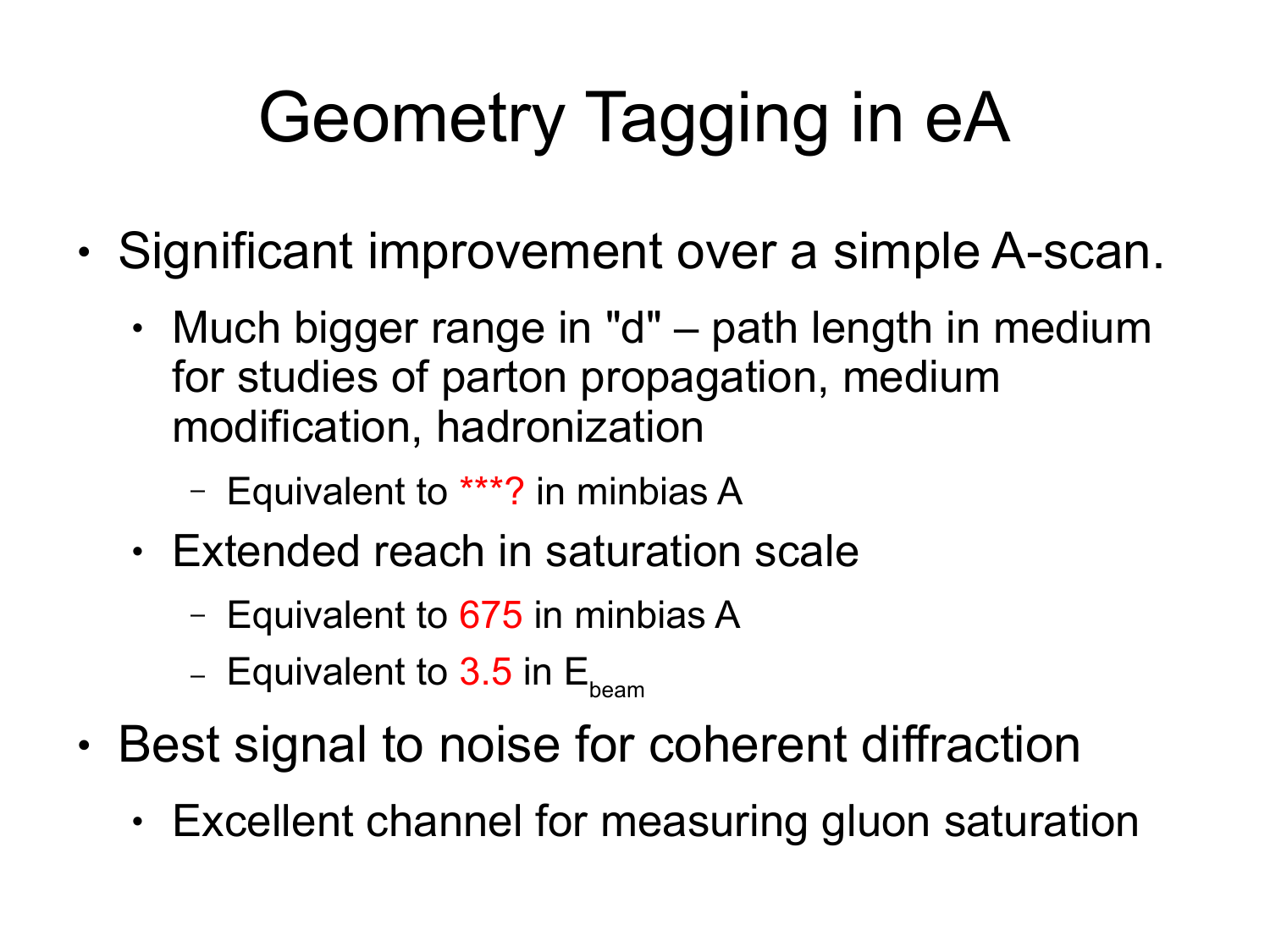# Geometry Tagging in eA

- Significant improvement over a simple A-scan.
	- $\cdot$  Much bigger range in "d" path length in medium for studies of parton propagation, medium modification, hadronization
		- Equivalent to \*\*\*? in minbias A
	- Extended reach in saturation scale
		- Equivalent to 675 in minbias A
		- Equivalent to 3.5 in  $E_{\text{beam}}$
- Best signal to noise for coherent diffraction
	- $\cdot$  Excellent channel for measuring gluon saturation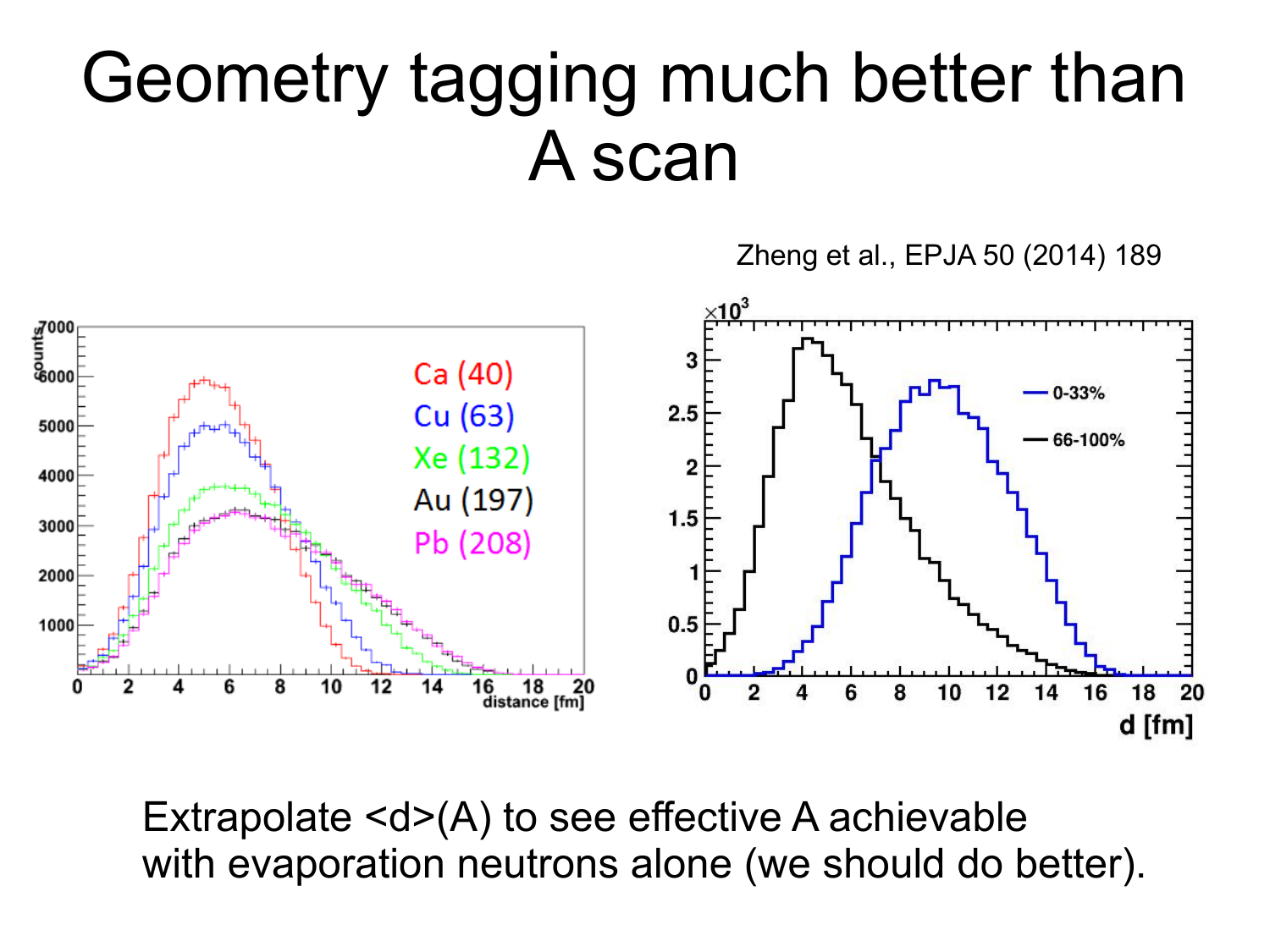#### Geometry tagging much better than A scan

Zheng et al., EPJA 50 (2014) 189



Extrapolate <d>(A) to see effective A achievable with evaporation neutrons alone (we should do better).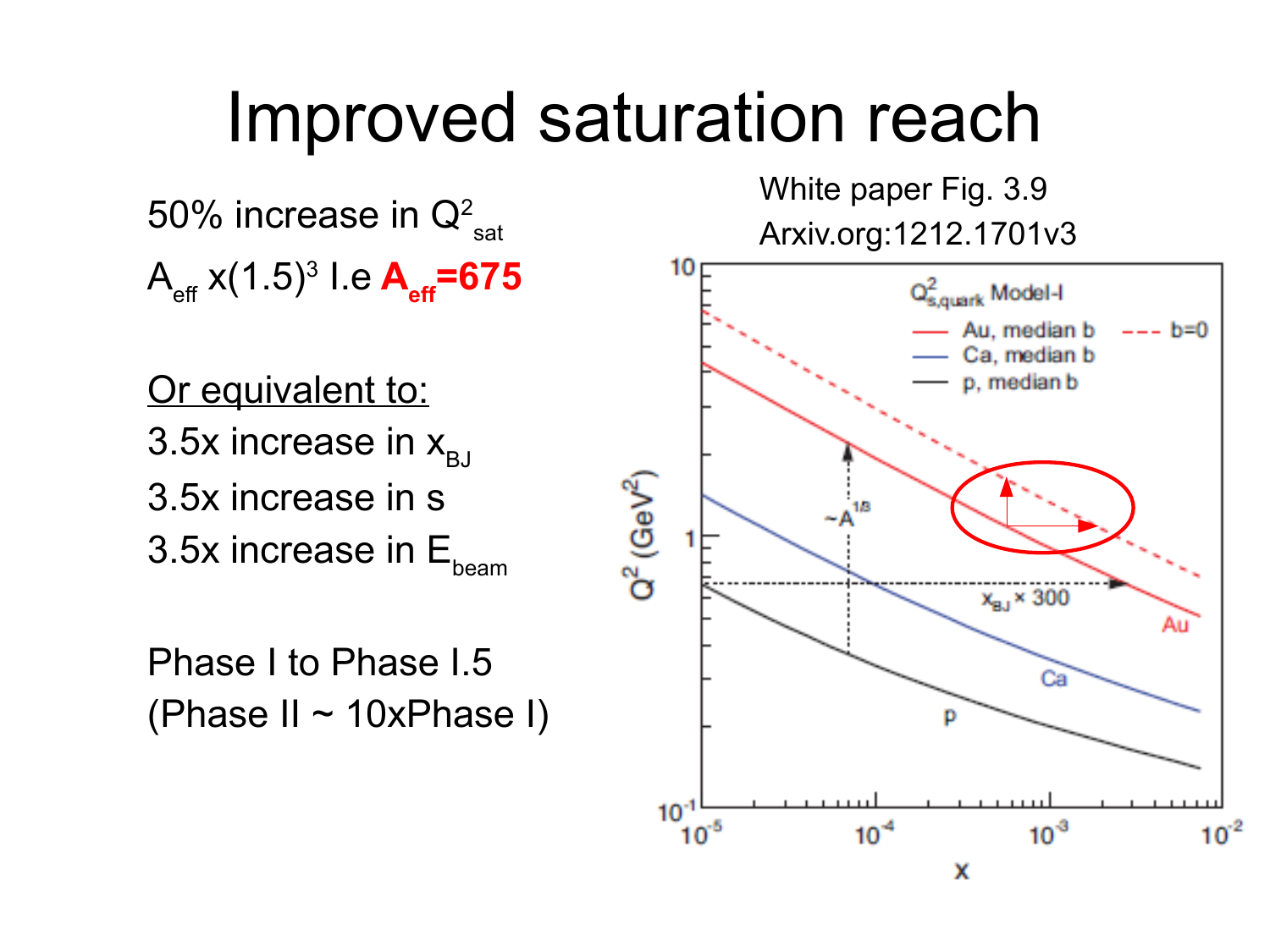#### Improved saturation reach

50% increase in  $\mathsf{Q}^2_{\phantom{2}\mathsf{sat}}$ Aeff x(1.5)<sup>3</sup> I.e **Aeff=675**

Or equivalent to: 3.5x increase in  $x_{B}$ 3.5x increase in s 3.5 $x$  increase in  $E_{\text{beam}}$ 

Phase I to Phase I.5 (Phase II ~ 10xPhase I) White paper Fig. 3.9 Arxiv.org:1212.1701v3

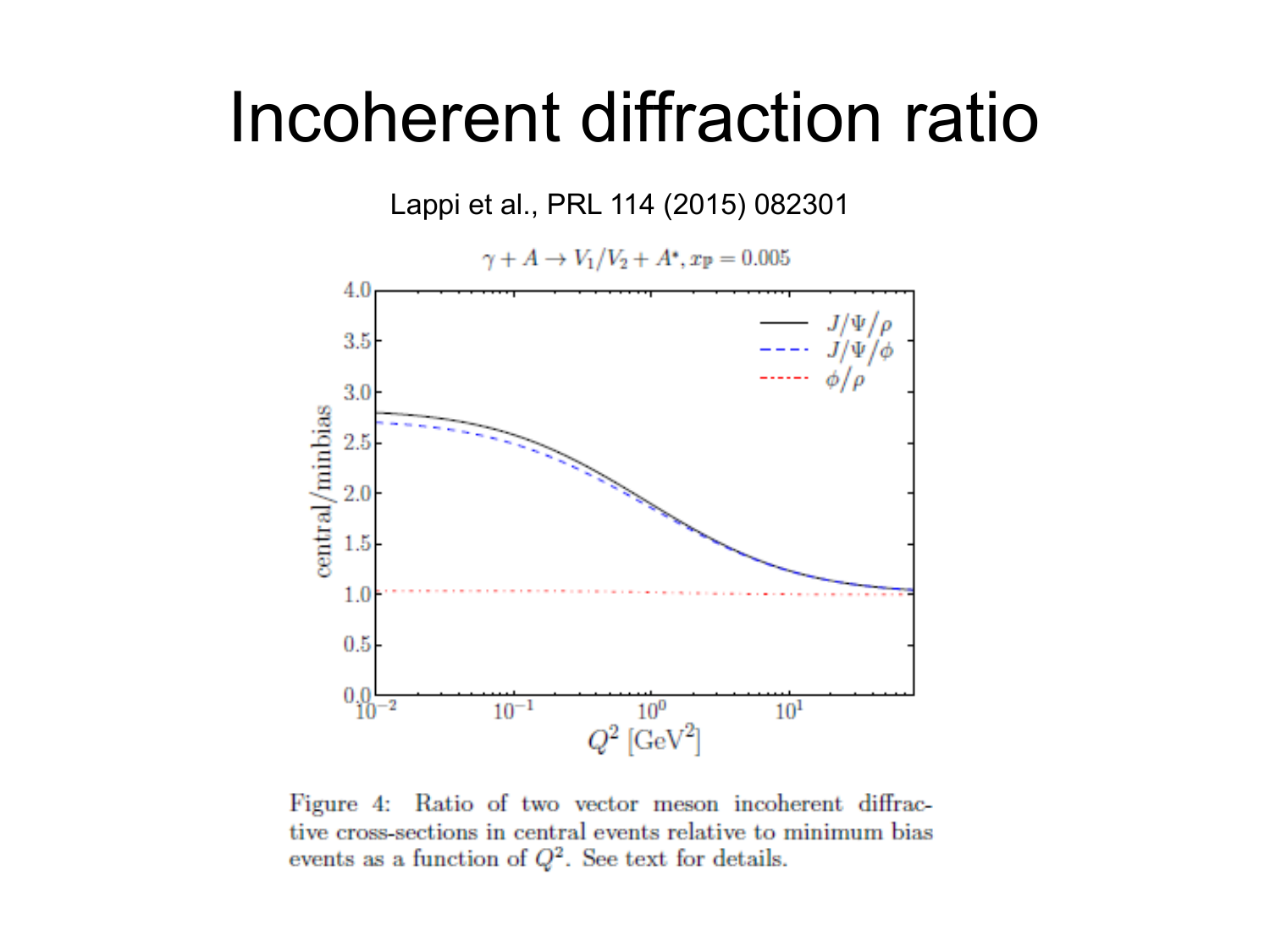#### Incoherent diffraction ratio



Figure 4: Ratio of two vector meson incoherent diffractive cross-sections in central events relative to minimum bias events as a function of  $Q^2$ . See text for details.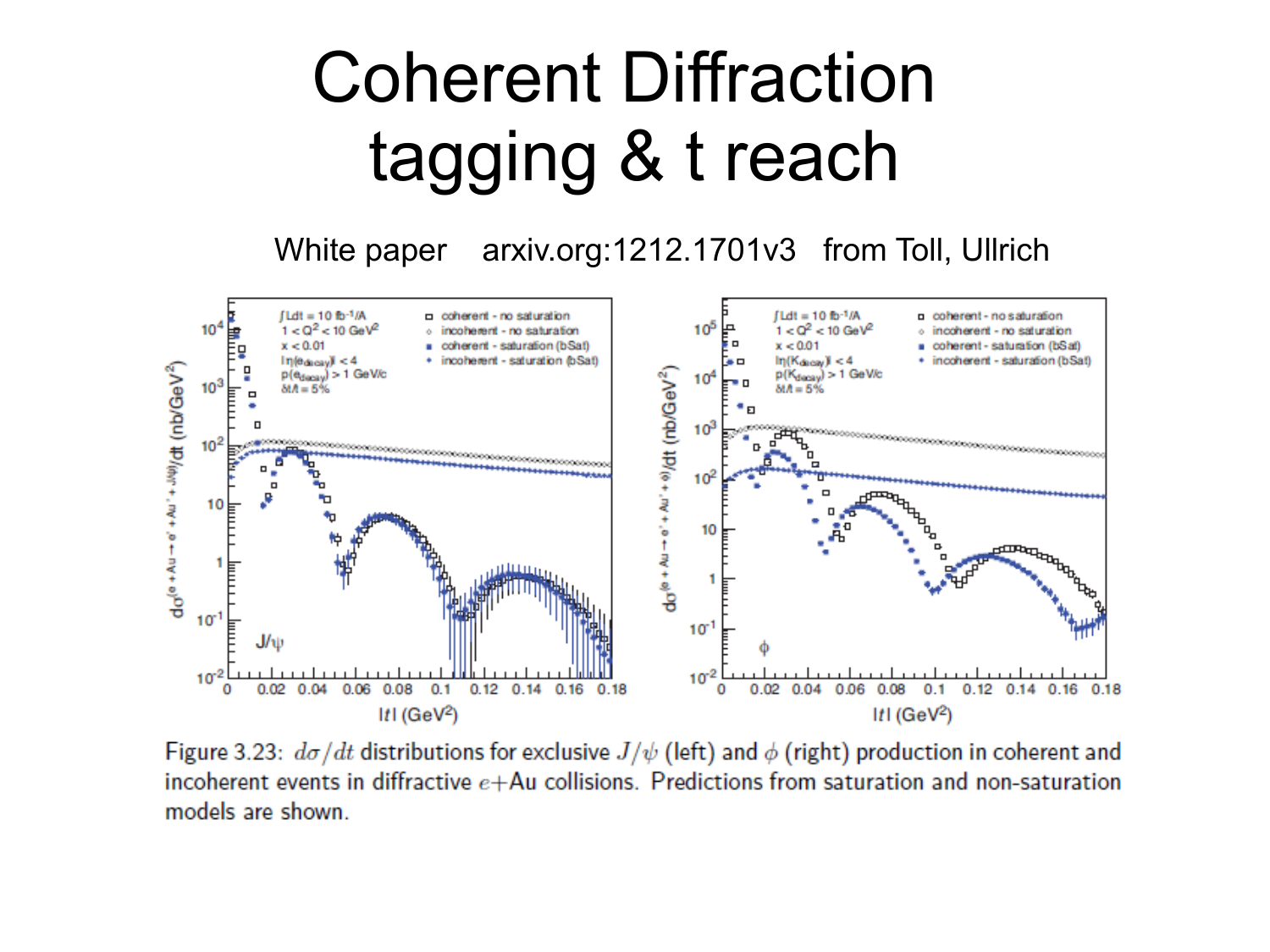### Coherent Diffraction tagging & t reach

White paper arxiv.org:1212.1701v3 from Toll, Ullrich



Figure 3.23:  $d\sigma/dt$  distributions for exclusive  $J/\psi$  (left) and  $\phi$  (right) production in coherent and incoherent events in diffractive  $e + Au$  collisions. Predictions from saturation and non-saturation models are shown.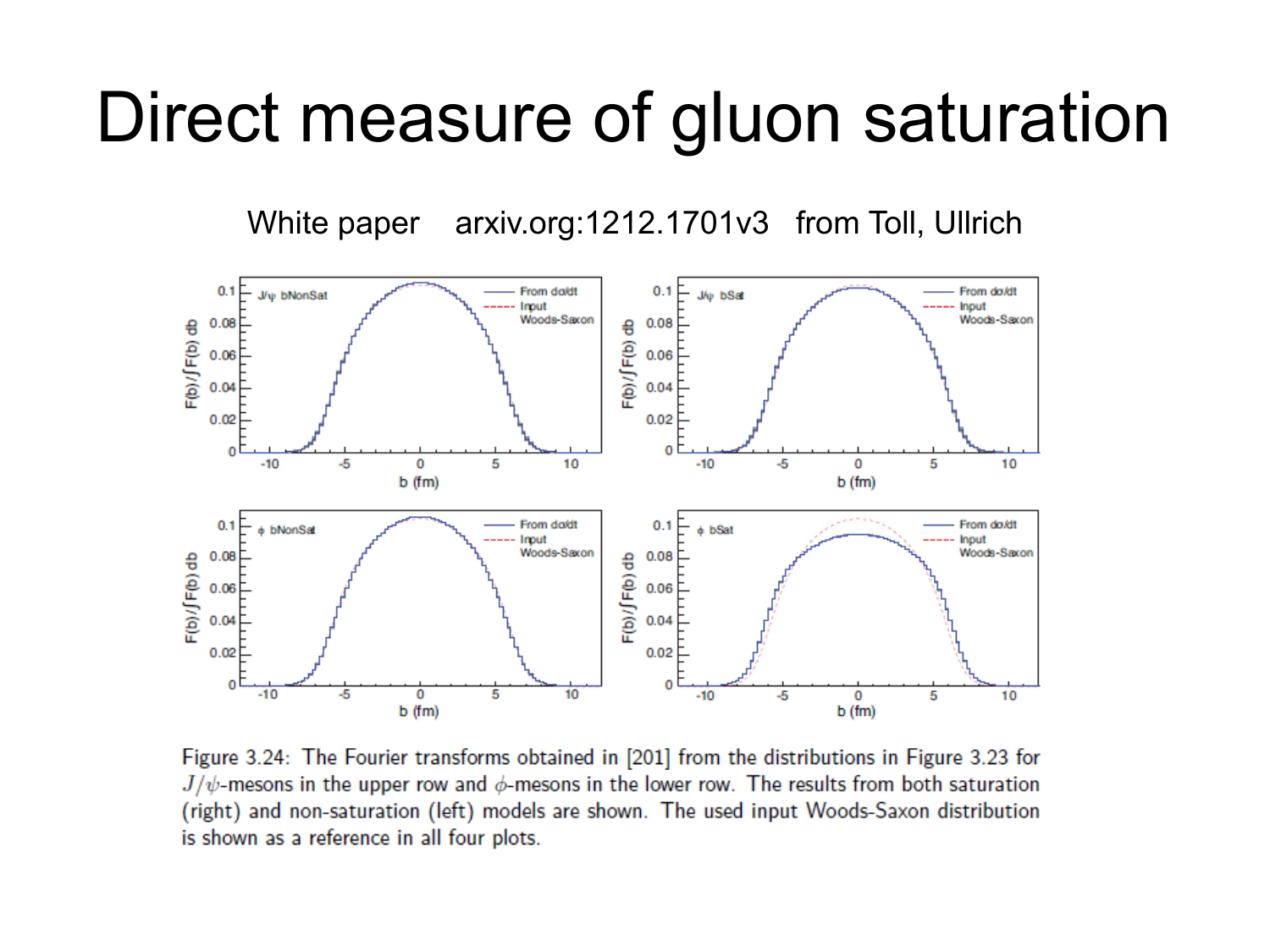#### Direct measure of gluon saturation

White paper arxiv.org:1212.1701v3 from Toll, Ullrich



Figure 3.24: The Fourier transforms obtained in [201] from the distributions in Figure 3.23 for  $J/\psi$ -mesons in the upper row and  $\phi$ -mesons in the lower row. The results from both saturation (right) and non-saturation (left) models are shown. The used input Woods-Saxon distribution is shown as a reference in all four plots.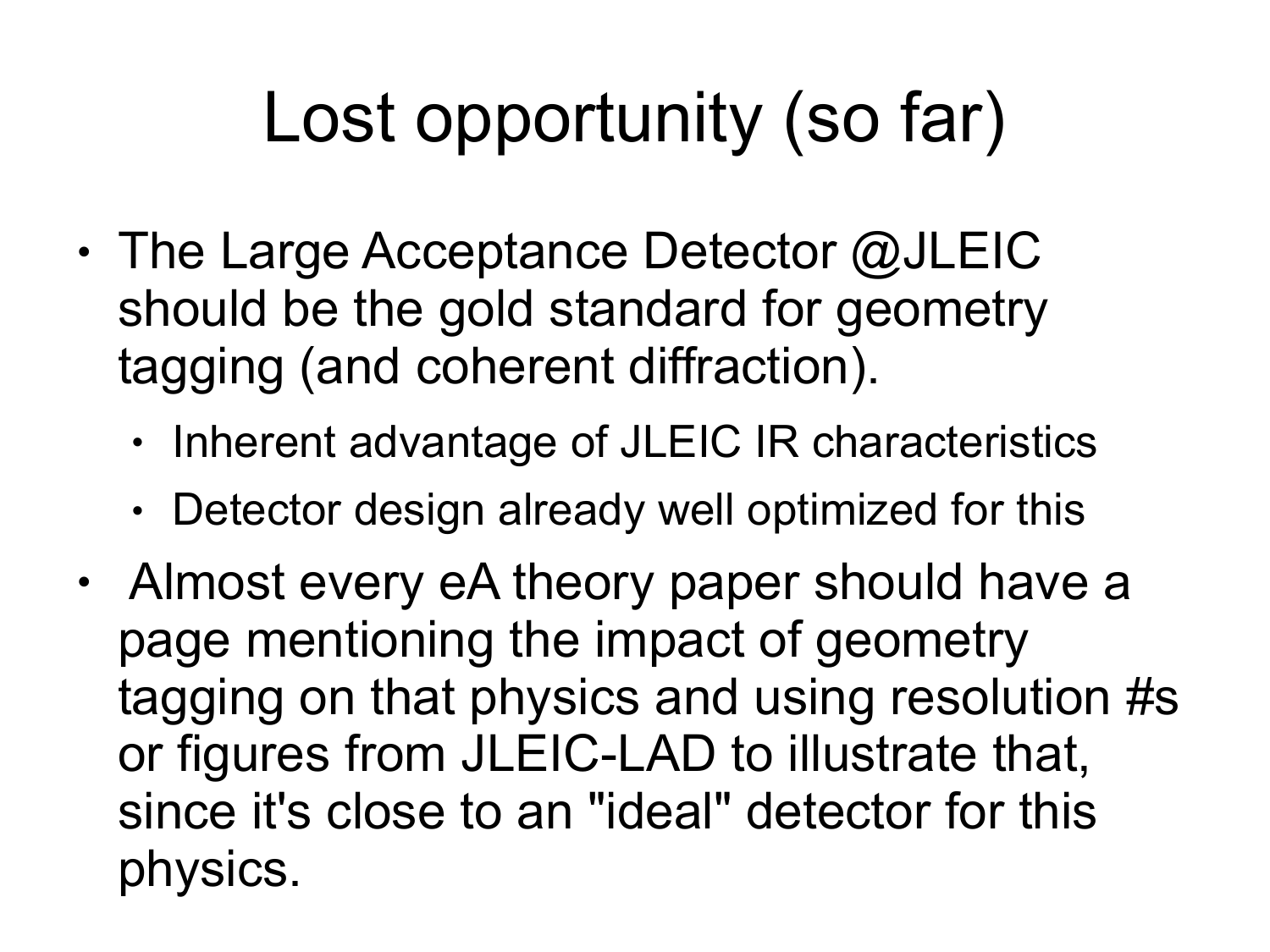# Lost opportunity (so far)

- $\cdot$  The Large Acceptance Detector @JLEIC should be the gold standard for geometry tagging (and coherent diffraction).
	- $\cdot$  Inherent advantage of JLEIC IR characteristics
	- $\cdot$  Detector design already well optimized for this
- Almost every eA theory paper should have a page mentioning the impact of geometry tagging on that physics and using resolution #s or figures from JLEIC-LAD to illustrate that, since it's close to an "ideal" detector for this physics.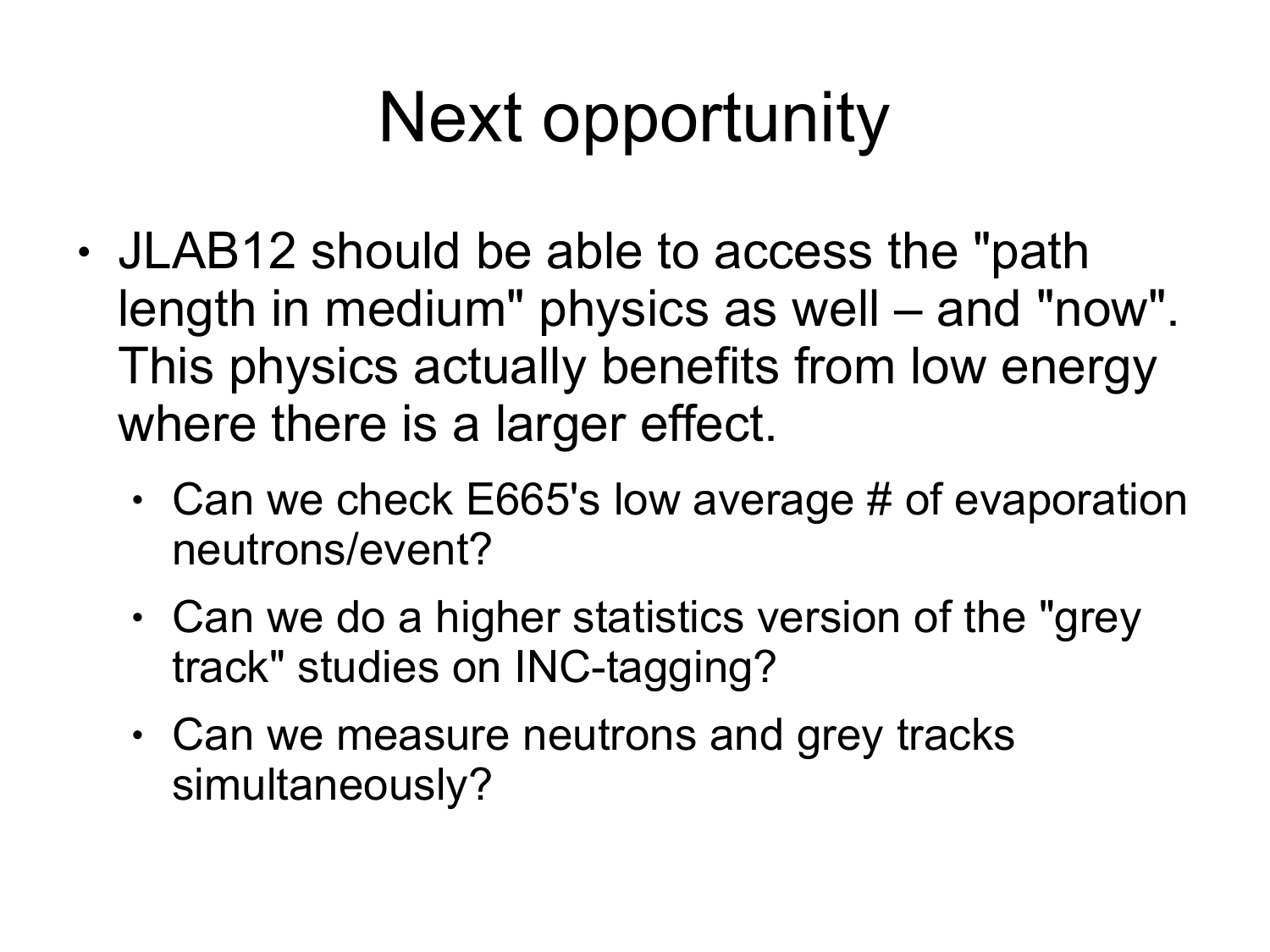# Next opportunity

- JLAB12 should be able to access the "path length in medium" physics as well – and "now". This physics actually benefits from low energy where there is a larger effect.
	- $\cdot$  Can we check E665's low average # of evaporation neutrons/event?
	- $\cdot$  Can we do a higher statistics version of the "grey" track" studies on INC-tagging?
	- Can we measure neutrons and grey tracks simultaneously?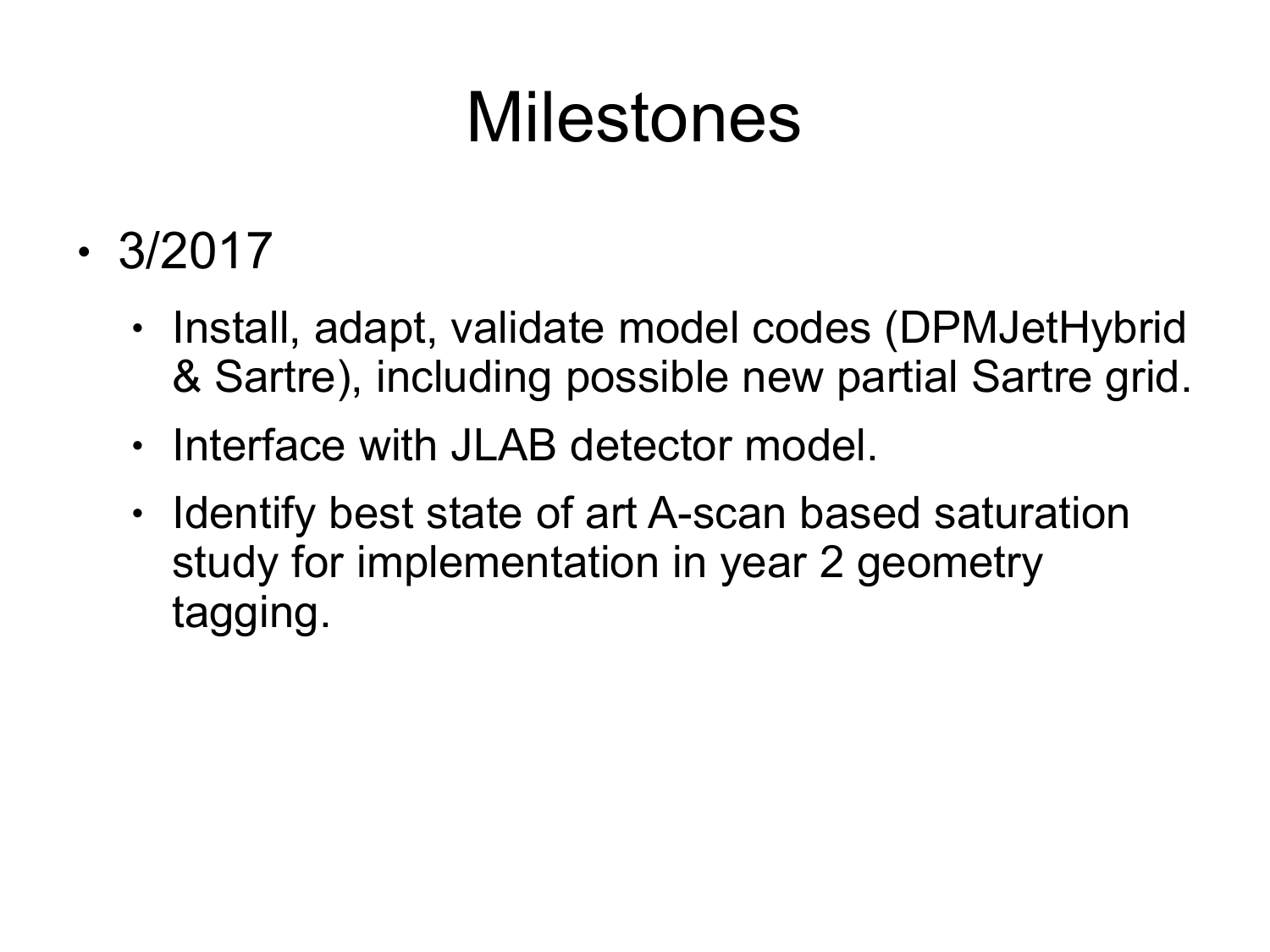### Milestones

- $\cdot$  3/2017
	- Install, adapt, validate model codes (DPMJetHybrid & Sartre), including possible new partial Sartre grid.
	- Interface with JLAB detector model.
	- Identify best state of art A-scan based saturation study for implementation in year 2 geometry tagging.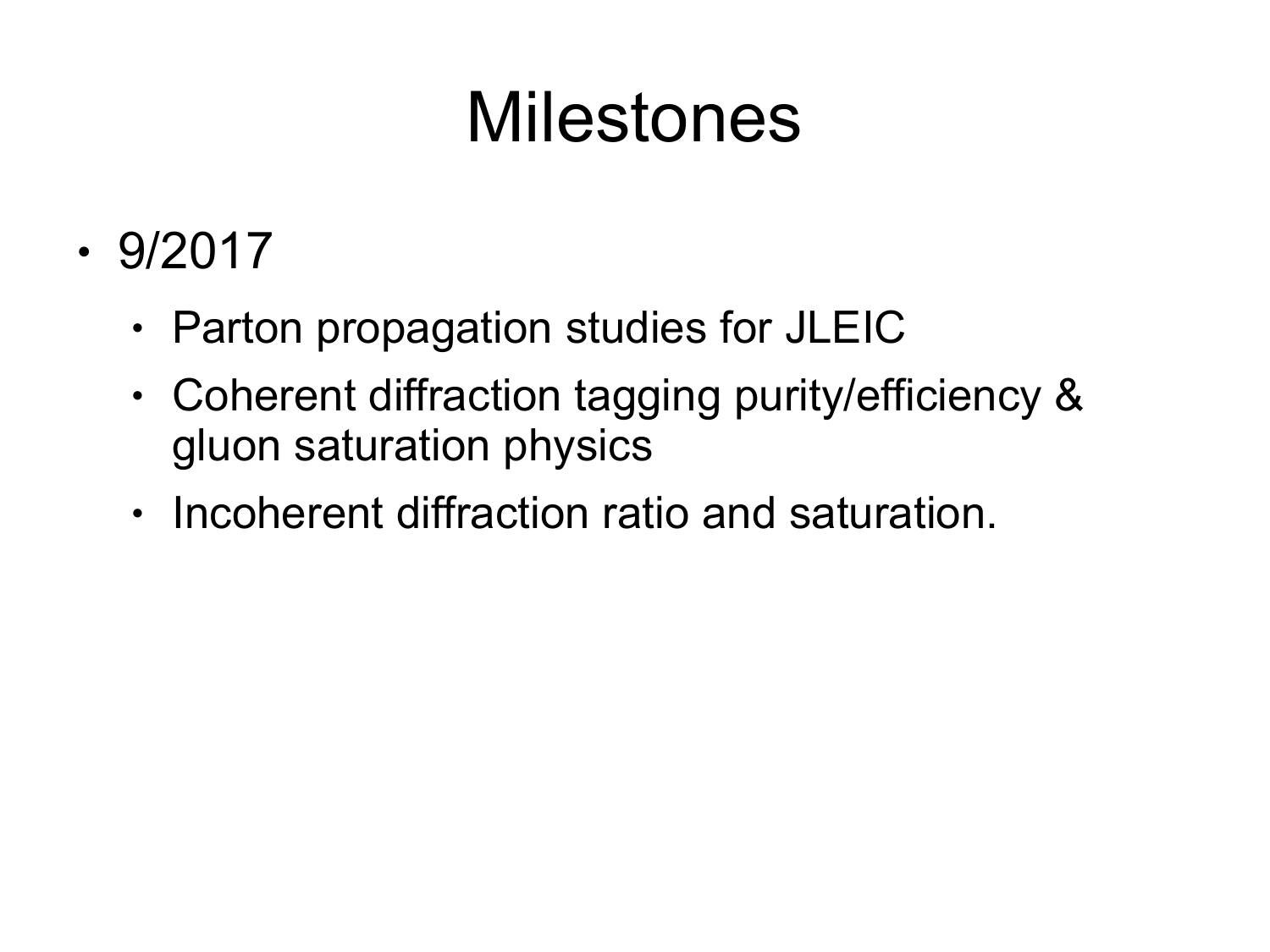### Milestones

- $\cdot$  9/2017
	- Parton propagation studies for JLEIC
	- Coherent diffraction tagging purity/efficiency & gluon saturation physics
	- Incoherent diffraction ratio and saturation.